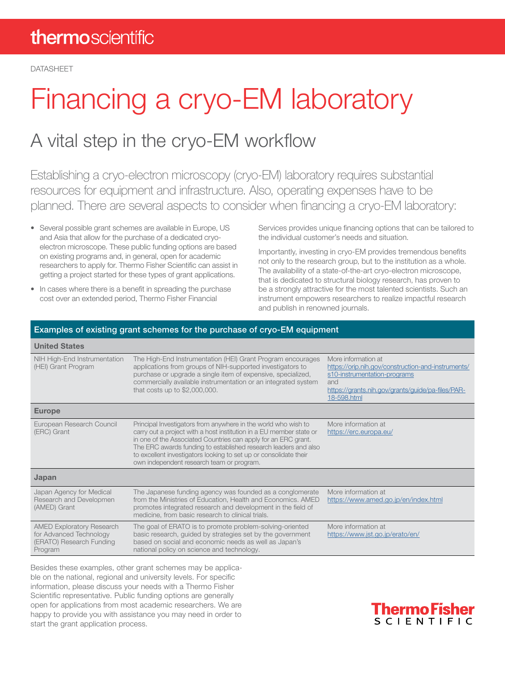DATASHEET

# Financing a cryo-EM laboratory

### A vital step in the cryo-EM workflow

Establishing a cryo-electron microscopy (cryo-EM) laboratory requires substantial resources for equipment and infrastructure. Also, operating expenses have to be planned. There are several aspects to consider when financing a cryo-EM laboratory:

- Several possible grant schemes are available in Europe, US and Asia that allow for the purchase of a dedicated cryoelectron microscope. These public funding options are based on existing programs and, in general, open for academic researchers to apply for. Thermo Fisher Scientific can assist in getting a project started for these types of grant applications.
- In cases where there is a benefit in spreading the purchase cost over an extended period, Thermo Fisher Financial

Services provides unique financing options that can be tailored to the individual customer's needs and situation.

Importantly, investing in cryo-EM provides tremendous benefits not only to the research group, but to the institution as a whole. The availability of a state-of-the-art cryo-electron microscope, that is dedicated to structural biology research, has proven to be a strongly attractive for the most talented scientists. Such an instrument empowers researchers to realize impactful research and publish in renowned journals.

| Examples of existing grant schemes for the purchase of cryo-EM equipment                           |                                                                                                                                                                                                                                                                                                                                                                                              |                                                                                                                                                                                      |
|----------------------------------------------------------------------------------------------------|----------------------------------------------------------------------------------------------------------------------------------------------------------------------------------------------------------------------------------------------------------------------------------------------------------------------------------------------------------------------------------------------|--------------------------------------------------------------------------------------------------------------------------------------------------------------------------------------|
| <b>United States</b>                                                                               |                                                                                                                                                                                                                                                                                                                                                                                              |                                                                                                                                                                                      |
| NIH High-End Instrumentation<br>(HEI) Grant Program                                                | The High-End Instrumentation (HEI) Grant Program encourages<br>applications from groups of NIH-supported investigators to<br>purchase or upgrade a single item of expensive, specialized,<br>commercially available instrumentation or an integrated system<br>that costs up to \$2,000,000.                                                                                                 | More information at<br>https://orip.nih.gov/construction-and-instruments/<br>s10-instrumentation-programs<br>and<br>https://grants.nih.gov/grants/guide/pa-files/PAR-<br>18-598.html |
| <b>Europe</b>                                                                                      |                                                                                                                                                                                                                                                                                                                                                                                              |                                                                                                                                                                                      |
| European Research Council<br>(ERC) Grant                                                           | Principal Investigators from anywhere in the world who wish to<br>carry out a project with a host institution in a EU member state or<br>in one of the Associated Countries can apply for an ERC grant.<br>The ERC awards funding to established research leaders and also<br>to excellent investigators looking to set up or consolidate their<br>own independent research team or program. | More information at<br>https://erc.europa.eu/                                                                                                                                        |
| Japan                                                                                              |                                                                                                                                                                                                                                                                                                                                                                                              |                                                                                                                                                                                      |
| Japan Agency for Medical<br>Research and Developmen<br>(AMED) Grant                                | The Japanese funding agency was founded as a conglomerate<br>from the Ministries of Education, Health and Economics. AMED<br>promotes integrated research and development in the field of<br>medicine, from basic research to clinical trials.                                                                                                                                               | More information at<br>https://www.amed.go.jp/en/index.html                                                                                                                          |
| <b>AMED Exploratory Research</b><br>for Advanced Technology<br>(ERATO) Research Funding<br>Program | The goal of ERATO is to promote problem-solving-oriented<br>basic research, guided by strategies set by the government<br>based on social and economic needs as well as Japan's<br>national policy on science and technology.                                                                                                                                                                | More information at<br>https://www.jst.go.jp/erato/en/                                                                                                                               |

Besides these examples, other grant schemes may be applicable on the national, regional and university levels. For specific information, please discuss your needs with a Thermo Fisher Scientific representative. Public funding options are generally open for applications from most academic researchers. We are happy to provide you with assistance you may need in order to start the grant application process.